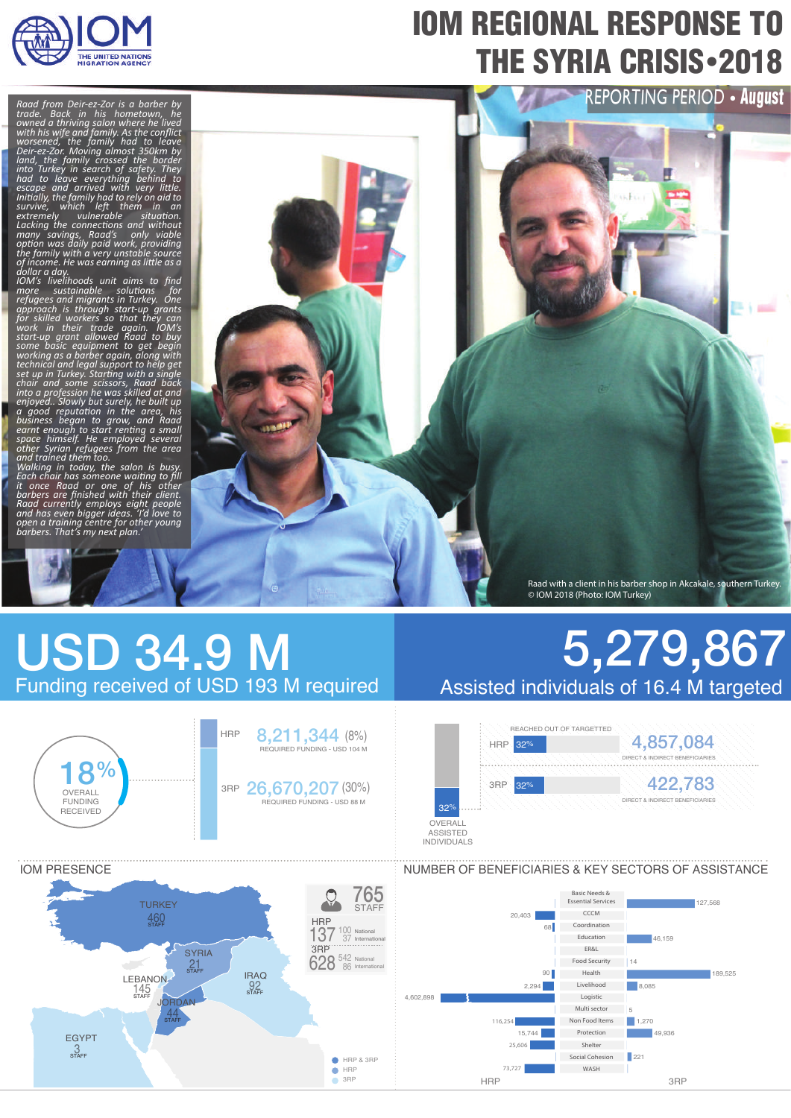

# IOM REGIONAL RESPONSE TO **THE SYRIA CRISIS** - 2018

*Raad from Deir-ez-Zor is a barber by trade. Back in his hometown, he owned a thriving salon where he lived with his wife and family. As the conflict worsened, the family had to leave* 

Deir-ez-Zor. Moving almost 350km by<br>land, the family crossed the border<br>into Turkey in search of safety. They<br>into Turkey in search of safety. They<br>had to leave everything behind to<br>survive, which left them in an<br>sextremel

*open a training centre for other young barbers. That's my next plan.'*



# USD 34.9 M Funding received of USD 193 M required



## 5,279,867 Assisted individuals of 16.4 M targeted





### NUMBER OF BENEFICIARIES & KEY SECTORS OF ASSISTANCE

Basic Needs & Essential Services **CCCM** Coordination Education ER&L Food Security Health Livelihood Logistic Multi sector Non Food Items Protection Shelter Social Cohesion WASH

127,568

189,525

46,159

49,936

 $\overline{\phantom{a}}$  8,085

 $1,270$ 

 $221$ 

5

14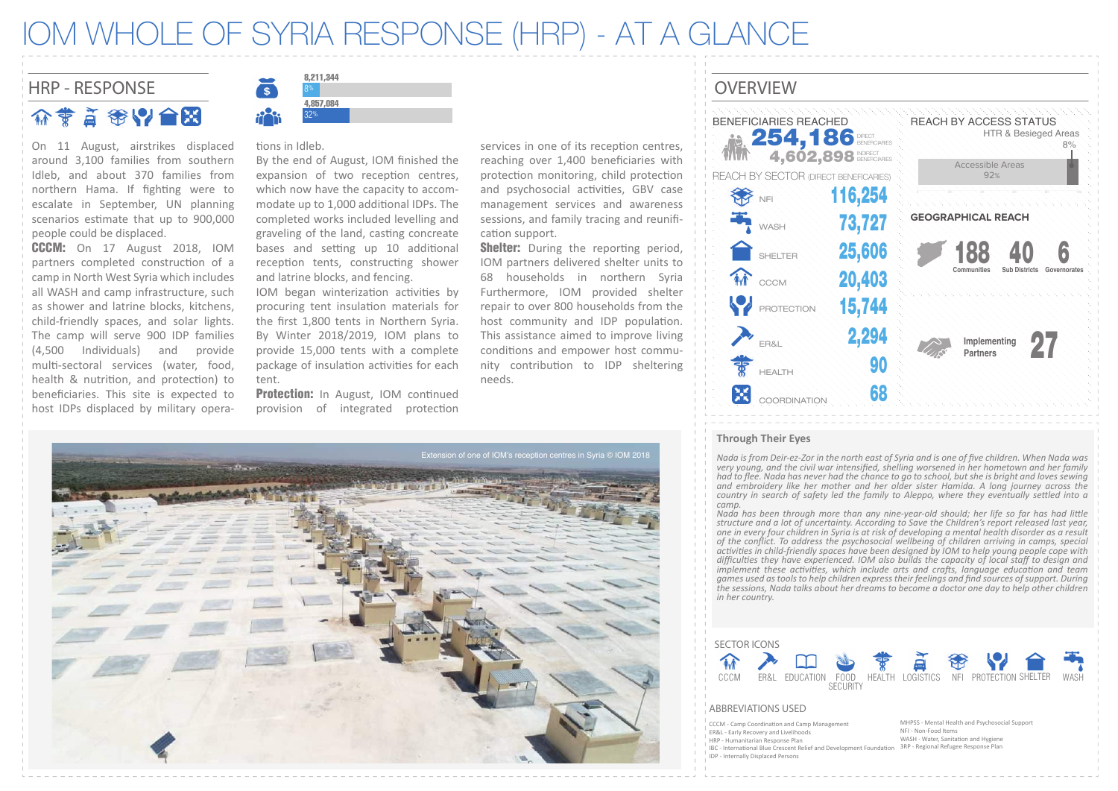### IOM WHOLE OF SYRIA RESPONSE (HRP) - AT A GLANCE

### HRP - RESPONSE SALLOWS AND SERVICE OVERVIEW

介蒙首策以合照

On 11 August, airstrikes displaced around 3,100 families from southern Idleb, and about 370 families from northern Hama. If fighting were to escalate in September, UN planning scenarios estimate that up to 900,000 people could be displaced.

CCCM: On 17 August 2018, IOM partners completed construction of a camp in North West Syria which includes all WASH and camp infrastructure, such as shower and latrine blocks, kitchens, child-friendly spaces, and solar lights. The camp will serve 900 IDP families (4,500 Individuals) and provide multi-sectoral services (water, food, health & nutrition, and protection) to beneficiaries. This site is expected to host IDPs displaced by military opera-



#### tions in Idleb.

By the end of August, IOM finished the expansion of two reception centres, which now have the capacity to accommodate up to 1,000 additional IDPs. The completed works included levelling and graveling of the land, casting concreate bases and setting up 10 additional reception tents, constructing shower and latrine blocks, and fencing.

IOM began winterization activities by procuring tent insulation materials for the first 1,800 tents in Northern Syria. By Winter 2018/2019, IOM plans to provide 15,000 tents with a complete package of insulation activities for each tent.

**Protection:** In August, IOM continued provision of integrated protection

services in one of its reception centres, reaching over 1,400 beneficiaries with protection monitoring, child protection and psychosocial activities, GBV case management services and awareness sessions, and family tracing and reunification support.

**Shelter:** During the reporting period, IOM partners delivered shelter units to 68 households in northern Syria Furthermore, IOM provided shelter repair to over 800 households from the host community and IDP population. This assistance aimed to improve living conditions and empower host community contribution to IDP sheltering needs.





#### **Through Their Eyes**

*Nada is from Deir-ez-Zor in the north east of Syria and is one of five children. When Nada was very young, and the civil war intensified, shelling worsened in her hometown and her family had to flee. Nada has never had the chance to go to school, but she is bright and loves sewing and embroidery like her mother and her older sister Hamida. A long journey across the country in search of safety led the family to Aleppo, where they eventually settled into a camp.*

*Nada has been through more than any nine-year-old should; her life so far has had little structure and a lot of uncertainty. According to Save the Children's report released last year,*  one in every four children in Syria is at risk of developing a mental health disorder as a result<br>of the conflict. To address the psychosocial wellbeing of children arriving in camps, special *activities in child-friendly spaces have been designed by IOM to help young people cope with difficulties they have experienced. IOM also builds the capacity of local staff to design and implement these activities, which include arts and crafts, language education and team games used as tools to help children express their feelings and find sources of support. During the sessions, Nada talks about her dreams to become a doctor one day to help other children in her country.*



#### ABBREVIATIONS USED

- CCCM Camp Coordination and Camp Managem
- ER&L Early Recovery and Livelihoods HRP - Humanitarian Response Plan
	-
- IBC International Blue Crescent Relief and Development Foundation
- MHPSS Mental Health and Psychosocial Support NFI - Non-Food Items
- 
- WASH Water, Sanitation and Hygiene
- IDP Internally Displaced Persons

3RP - Regional Refugee Response Plan